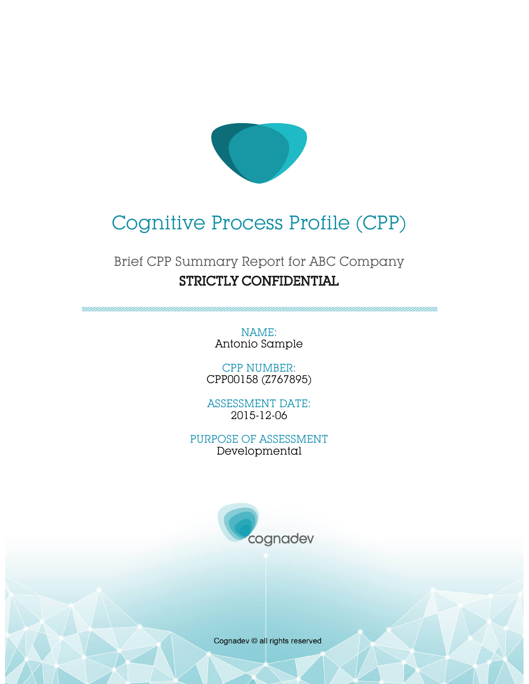

# Cognitive Process Profile (CPP)

# Brief CPP Summary Report for ABC Company STRICTLY CONFIDENTIAL

NAME: Antonio Sample

CPP NUMBER: CPP00158 (Z767895)

ASSESSMENT DATE: 2015-12-06

PURPOSE OF ASSESSMENT Developmental



Cognadev © all rights reserved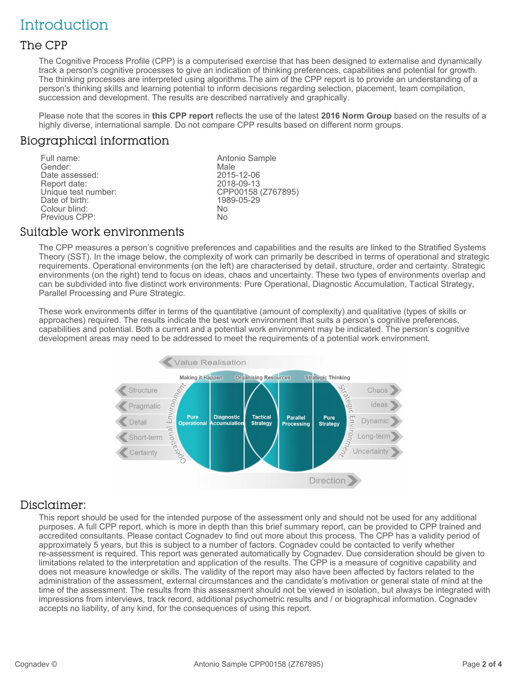# **Introduction**

#### The CPP

The Cognitive Process Profile (CPP) is a computerised exercise that has been designed to externalise and dynamically track a person's cognitive processes to give an indication of thinking preferences, capabilities and potential for growth. The thinking processes are interpreted using algorithms.The aim of the CPP report is to provide an understanding of a person's thinking skills and learning potential to inform decisions regarding selection, placement, team compilation, succession and development. The results are described narratively and graphically.

Please note that the scores in **this CPP report** reflects the use of the latest **2016 Norm Group** based on the results of a highly diverse, international sample. Do not compare CPP results based on different norm groups.

#### Biographical information

Full name: The Contract of the Antonio Sample Sender:<br>
Full name: The Antonio Sample Sender: Gender: Male Date assessed: 2015-12-06 Report date:<br>Unique test number: CPP00158 (Z767895)<br>1989-05-29 Date of birth: Colour blind: No Previous CPP:

#### Suitable work environments

The CPP measures a person's cognitive preferences and capabilities and the results are linked to the Stratified Systems Theory (SST). In the image below, the complexity of work can primarily be described in terms of operational and strategic requirements. Operational environments (on the left) are characterised by detail, structure, order and certainty. Strategic environments (on the right) tend to focus on ideas, chaos and uncertainty. These two types of environments overlap and can be subdivided into five distinct work environments: Pure Operational, Diagnostic Accumulation, Tactical Strategy, Parallel Processing and Pure Strategic.

These work environments differ in terms of the quantitative (amount of complexity) and qualitative (types of skills or approaches) required. The results indicate the best work environment that suits a person's cognitive preferences, capabilities and potential. Both a current and a potential work environment may be indicated. The person's cognitive development areas may need to be addressed to meet the requirements of a potential work environment.



#### Disclaimer:

This report should be used for the intended purpose of the assessment only and should not be used for any additional purposes. A full CPP report, which is more in depth than this brief summary report, can be provided to CPP trained and accredited consultants. Please contact Cognadev to find out more about this process. The CPP has a validity period of approximately 5 years, but this is subject to a number of factors. Cognadev could be contacted to verify whether re-assessment is required. This report was generated automatically by Cognadev. Due consideration should be given to limitations related to the interpretation and application of the results. The CPP is a measure of cognitive capability and does not measure knowledge or skills. The validity of the report may also have been affected by factors related to the administration of the assessment, external circumstances and the candidate's motivation or general state of mind at the time of the assessment. The results from this assessment should not be viewed in isolation, but always be integrated with impressions from interviews, track record, additional psychometric results and / or biographical information. Cognadev accepts no liability, of any kind, for the consequences of using this report.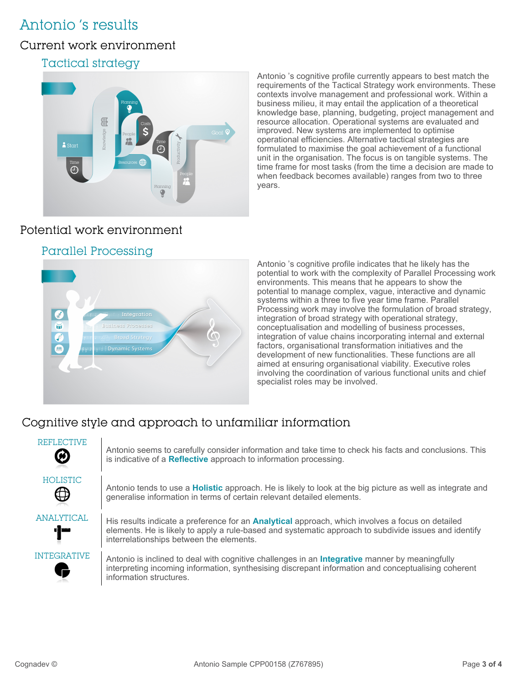# Antonio 's results

## Current work environment

### Tactical strategy



Antonio 's cognitive profile currently appears to best match the requirements of the Tactical Strategy work environments. These contexts involve management and professional work. Within a business milieu, it may entail the application of a theoretical knowledge base, planning, budgeting, project management and resource allocation. Operational systems are evaluated and improved. New systems are implemented to optimise operational efficiencies. Alternative tactical strategies are formulated to maximise the goal achievement of a functional unit in the organisation. The focus is on tangible systems. The time frame for most tasks (from the time a decision are made to when feedback becomes available) ranges from two to three years.

# Potential work environment

### Parallel Processing



Antonio 's cognitive profile indicates that he likely has the potential to work with the complexity of Parallel Processing work environments. This means that he appears to show the potential to manage complex, vague, interactive and dynamic systems within a three to five year time frame. Parallel Processing work may involve the formulation of broad strategy, integration of broad strategy with operational strategy, conceptualisation and modelling of business processes, integration of value chains incorporating internal and external factors, organisational transformation initiatives and the development of new functionalities. These functions are all aimed at ensuring organisational viability. Executive roles involving the coordination of various functional units and chief specialist roles may be involved.

# Cognitive style and approach to unfamiliar information

| <b>REFLECTIVE</b><br>Ø   | Antonio seems to carefully consider information and take time to check his facts and conclusions. This<br>is indicative of a Reflective approach to information processing.                                                                                  |
|--------------------------|--------------------------------------------------------------------------------------------------------------------------------------------------------------------------------------------------------------------------------------------------------------|
| HOLISTIC<br>$\mathbb G$  | Antonio tends to use a <b>Holistic</b> approach. He is likely to look at the big picture as well as integrate and<br>generalise information in terms of certain relevant detailed elements.                                                                  |
| <b>ANALYTICAL</b><br>·]" | His results indicate a preference for an <b>Analytical</b> approach, which involves a focus on detailed<br>elements. He is likely to apply a rule-based and systematic approach to subdivide issues and identify<br>interrelationships between the elements. |
| <b>INTEGRATIVE</b>       | Antonio is inclined to deal with cognitive challenges in an <b>Integrative</b> manner by meaningfully<br>interpreting incoming information, synthesising discrepant information and conceptualising coherent<br>information structures.                      |